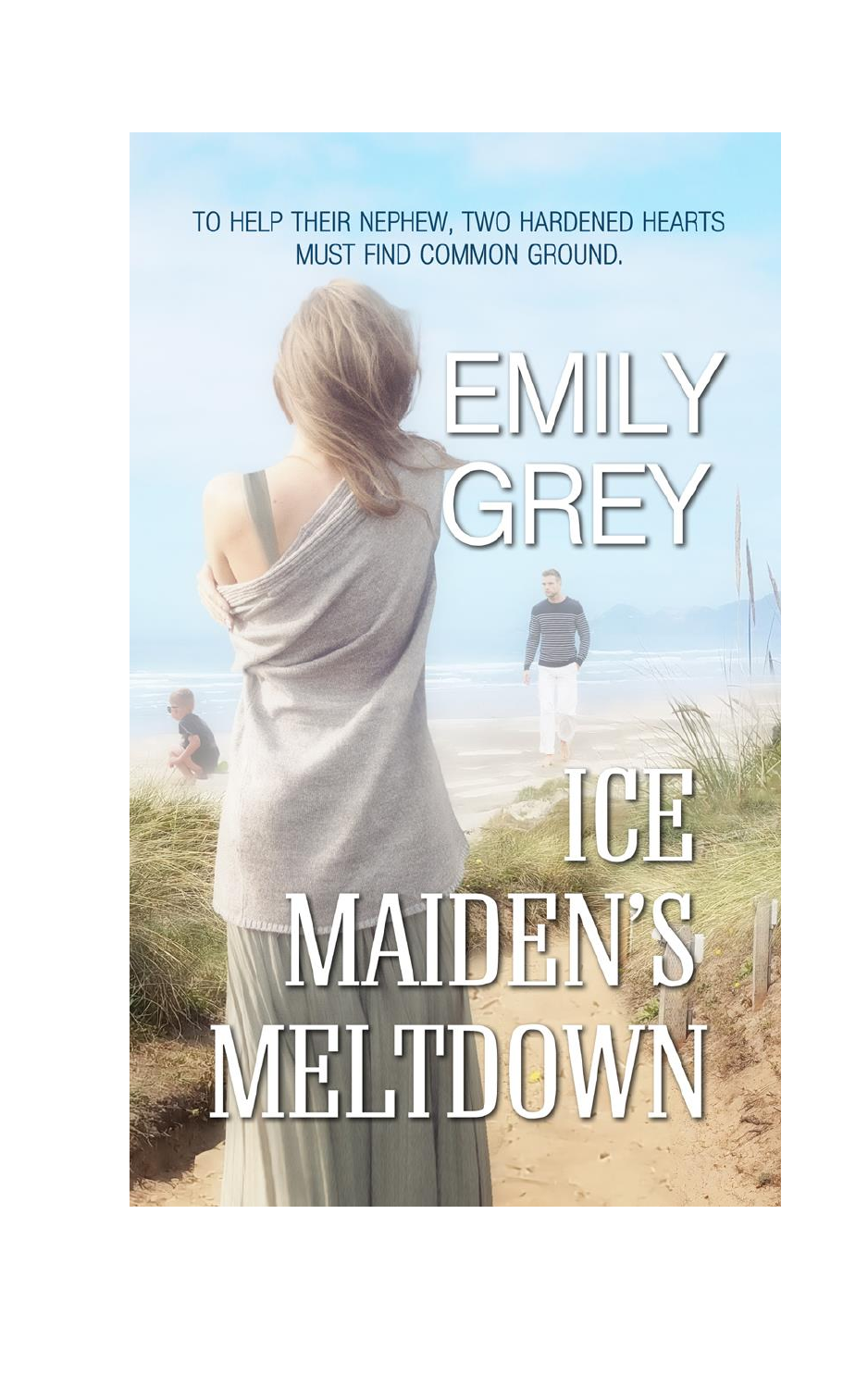TO HELP THEIR NEPHEW, TWO HARDENED HEARTS MUST FIND COMMON GROUND.

**EMILY** 

GREY

ICH

**MAIDEN'S** 

VIELTDOWN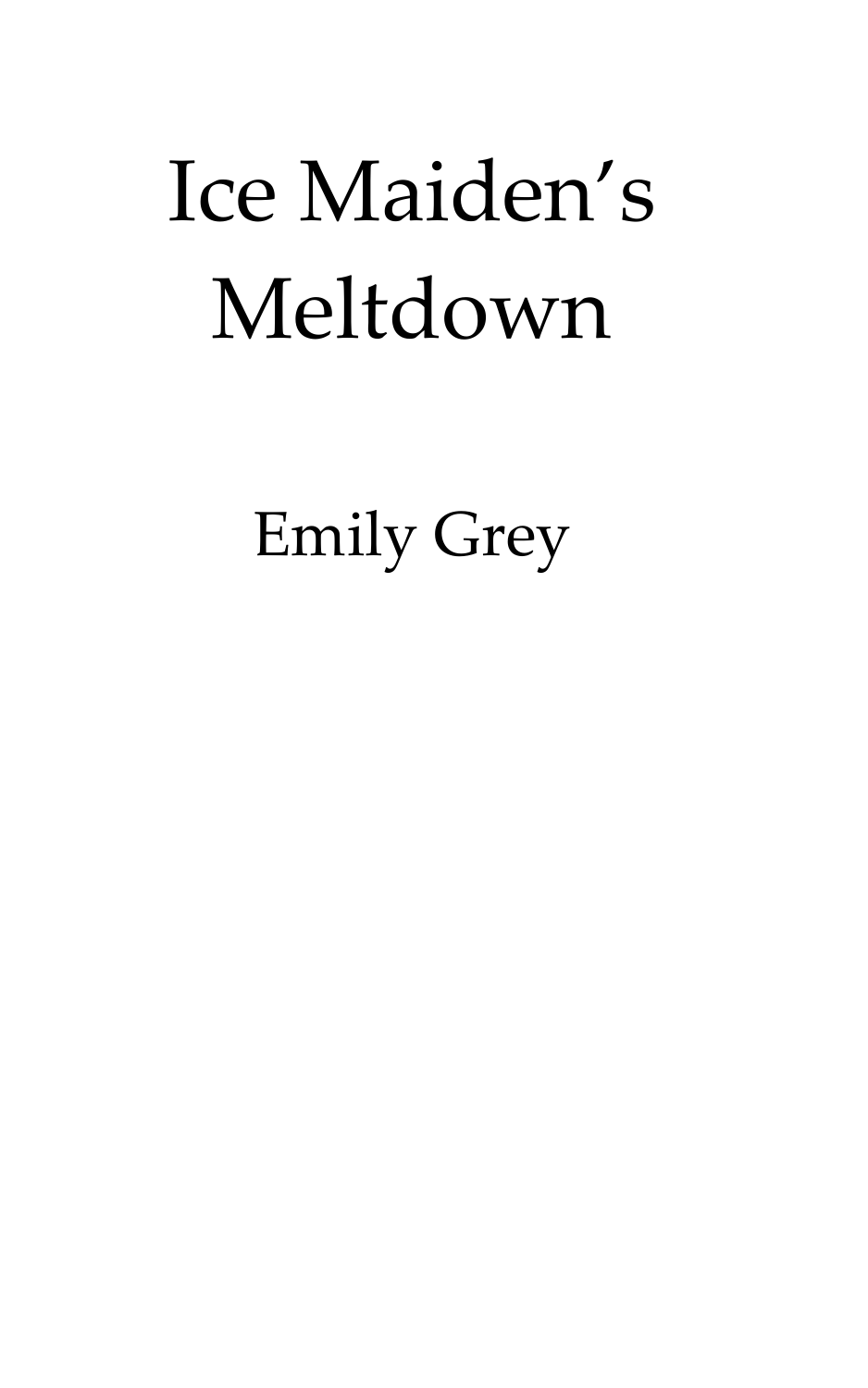## Ice Maiden's Meltdown

Emily Grey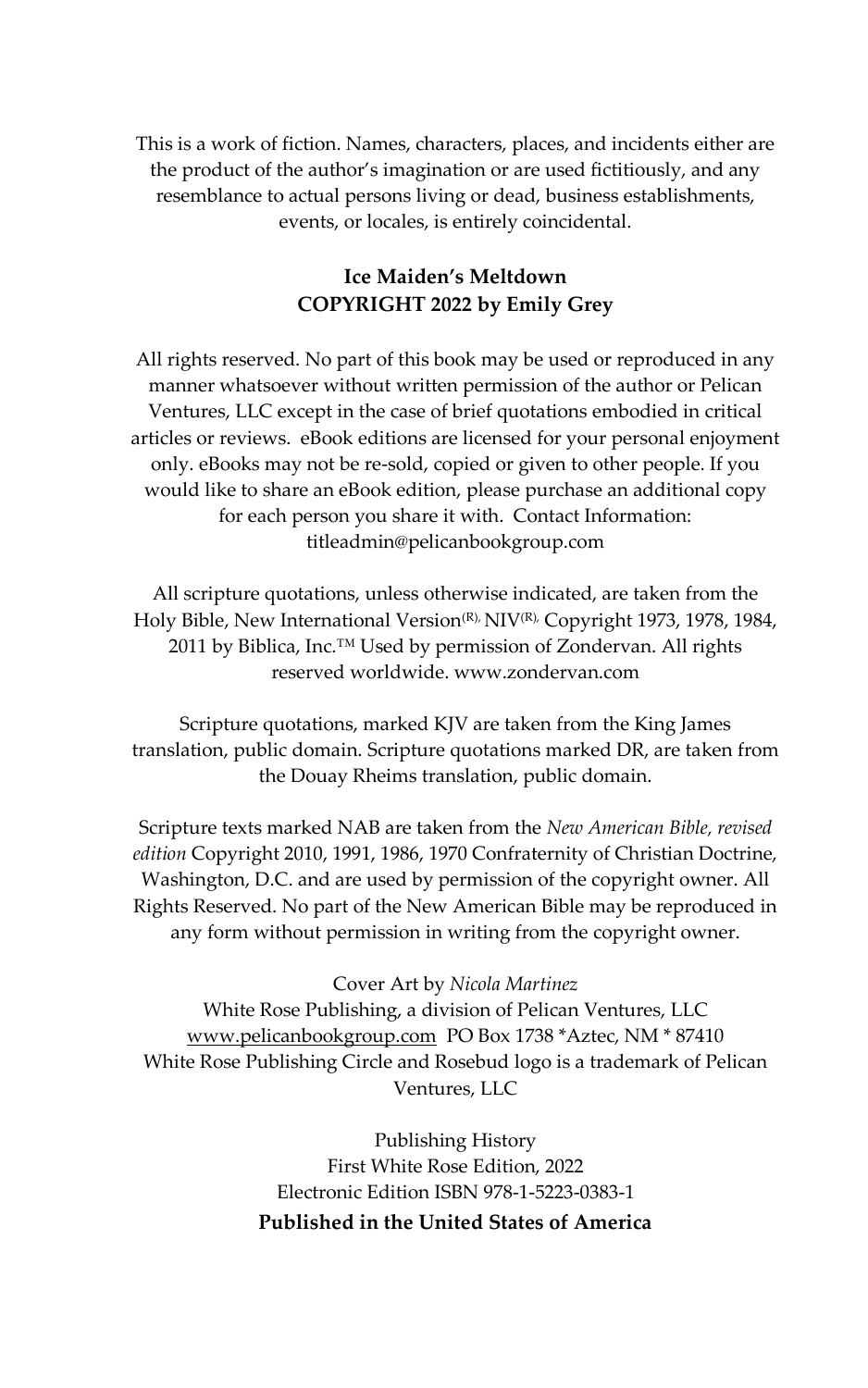This is a work of fiction. Names, characters, places, and incidents either are the product of the author's imagination or are used fictitiously, and any resemblance to actual persons living or dead, business establishments, events, or locales, is entirely coincidental.

## **Ice Maiden's Meltdown COPYRIGHT 2022 by Emily Grey**

All rights reserved. No part of this book may be used or reproduced in any manner whatsoever without written permission of the author or Pelican Ventures, LLC except in the case of brief quotations embodied in critical articles or reviews. eBook editions are licensed for your personal enjoyment only. eBooks may not be re-sold, copied or given to other people. If you would like to share an eBook edition, please purchase an additional copy for each person you share it with. Contact Information: titleadmin@pelicanbookgroup.com

All scripture quotations, unless otherwise indicated, are taken from the Holy Bible, New International Version<sup>(R),</sup> NIV(R), Copyright 1973, 1978, 1984, 2011 by Biblica, Inc.<sup>™</sup> Used by permission of Zondervan. All rights reserved worldwide. www.zondervan.com

Scripture quotations, marked KJV are taken from the King James translation, public domain. Scripture quotations marked DR, are taken from the Douay Rheims translation, public domain.

Scripture texts marked NAB are taken from the *New American Bible, revised edition* Copyright 2010, 1991, 1986, 1970 Confraternity of Christian Doctrine, Washington, D.C. and are used by permission of the copyright owner. All Rights Reserved. No part of the New American Bible may be reproduced in any form without permission in writing from the copyright owner.

## Cover Art by *Nicola Martinez*

White Rose Publishing, a division of Pelican Ventures, LLC [www.pelicanbookgroup.com](http://www.pelicanbookgroup.com/) PO Box 1738 \*Aztec, NM \* 87410 White Rose Publishing Circle and Rosebud logo is a trademark of Pelican Ventures, LLC

> Publishing History First White Rose Edition, 2022 Electronic Edition ISBN 978-1-5223-0383-1 **Published in the United States of America**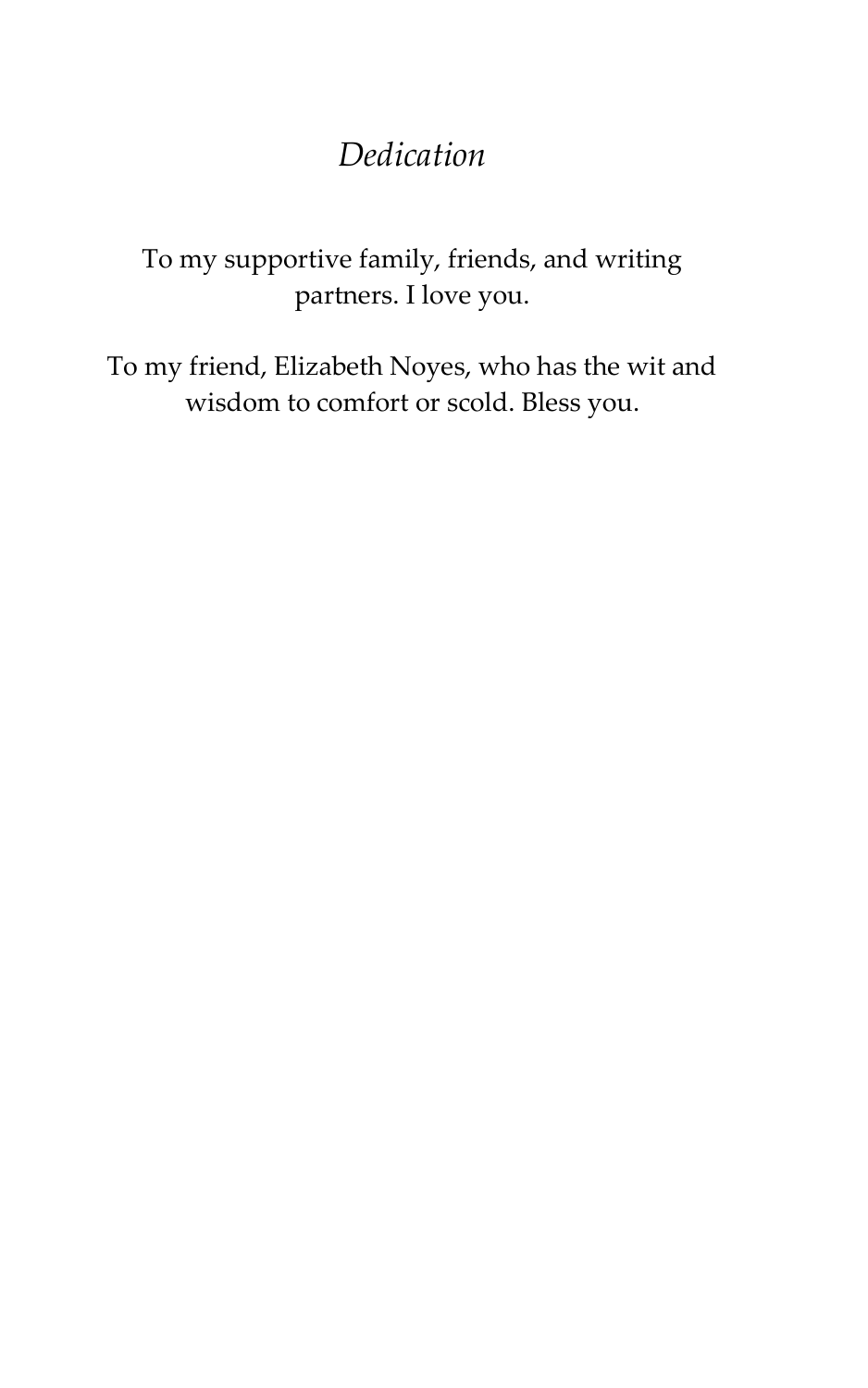## *Dedication*

To my supportive family, friends, and writing partners. I love you.

To my friend, Elizabeth Noyes, who has the wit and wisdom to comfort or scold. Bless you.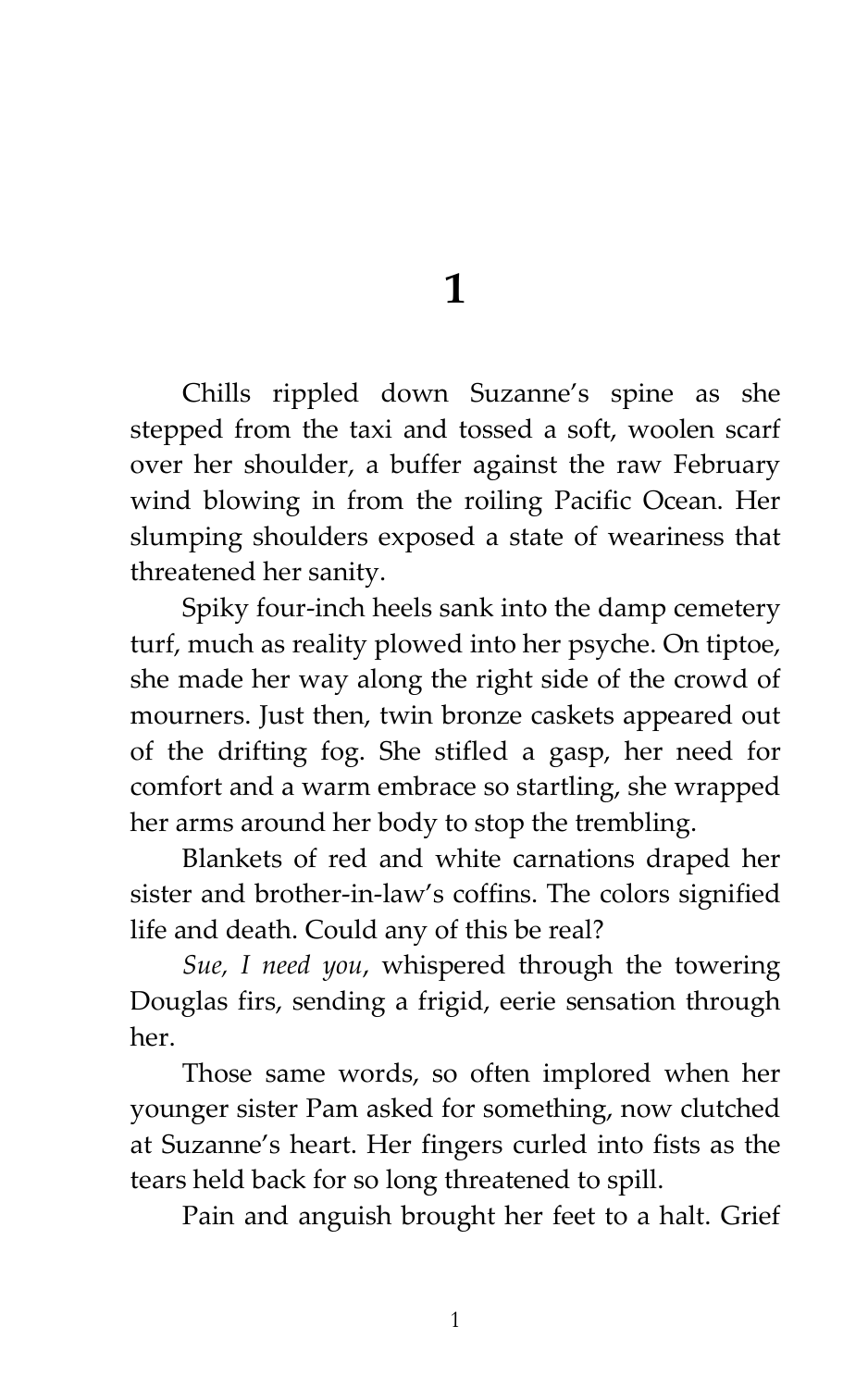**1**

Chills rippled down Suzanne's spine as she stepped from the taxi and tossed a soft, woolen scarf over her shoulder, a buffer against the raw February wind blowing in from the roiling Pacific Ocean. Her slumping shoulders exposed a state of weariness that threatened her sanity.

Spiky four-inch heels sank into the damp cemetery turf, much as reality plowed into her psyche. On tiptoe, she made her way along the right side of the crowd of mourners. Just then, twin bronze caskets appeared out of the drifting fog. She stifled a gasp, her need for comfort and a warm embrace so startling, she wrapped her arms around her body to stop the trembling.

Blankets of red and white carnations draped her sister and brother-in-law's coffins. The colors signified life and death. Could any of this be real?

*Sue, I need you*, whispered through the towering Douglas firs, sending a frigid, eerie sensation through her.

Those same words, so often implored when her younger sister Pam asked for something, now clutched at Suzanne's heart. Her fingers curled into fists as the tears held back for so long threatened to spill.

Pain and anguish brought her feet to a halt. Grief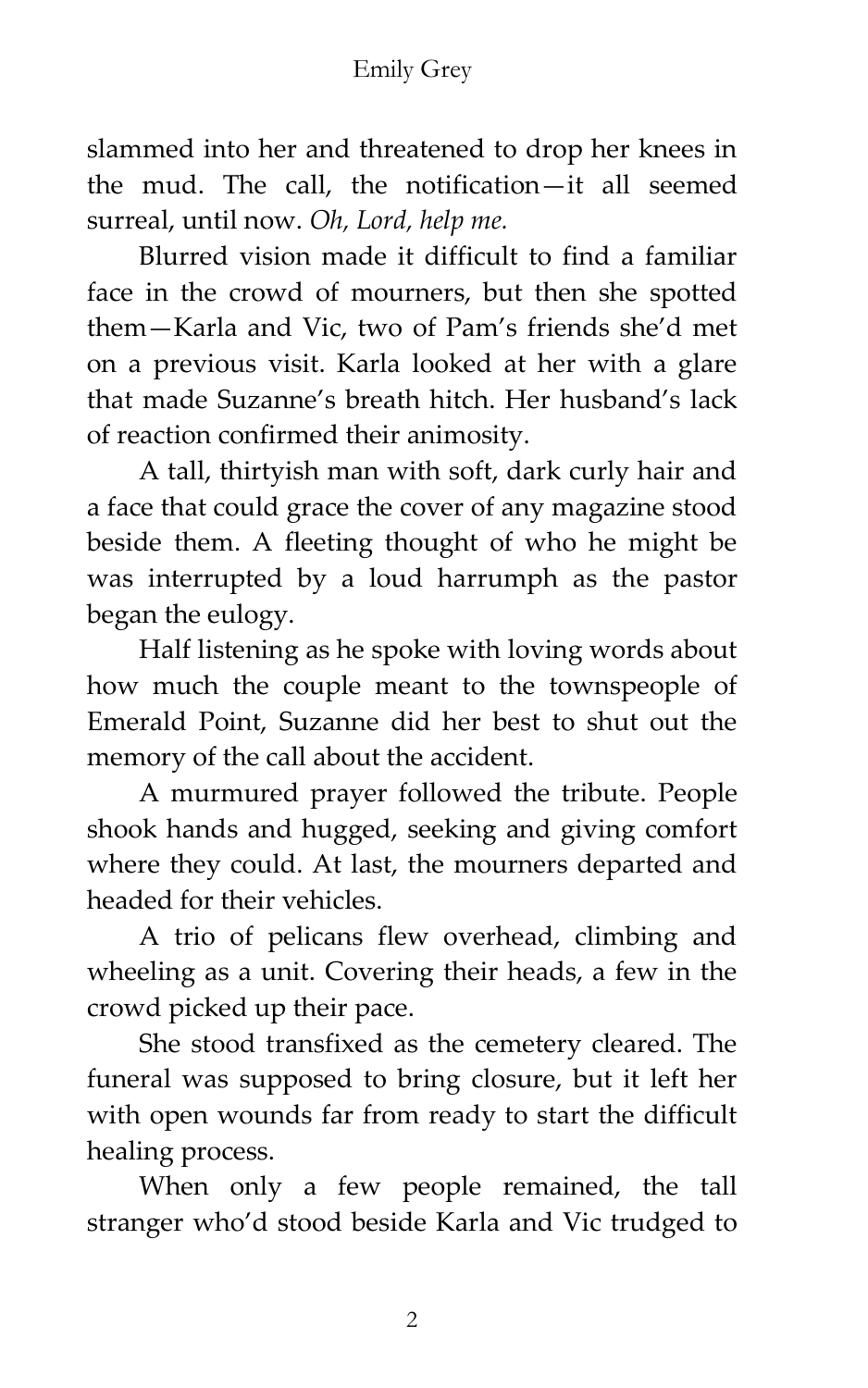slammed into her and threatened to drop her knees in the mud. The call, the notification—it all seemed surreal, until now. *Oh, Lord, help me.*

Blurred vision made it difficult to find a familiar face in the crowd of mourners, but then she spotted them—Karla and Vic, two of Pam's friends she'd met on a previous visit. Karla looked at her with a glare that made Suzanne's breath hitch. Her husband's lack of reaction confirmed their animosity.

A tall, thirtyish man with soft, dark curly hair and a face that could grace the cover of any magazine stood beside them. A fleeting thought of who he might be was interrupted by a loud harrumph as the pastor began the eulogy.

Half listening as he spoke with loving words about how much the couple meant to the townspeople of Emerald Point, Suzanne did her best to shut out the memory of the call about the accident.

A murmured prayer followed the tribute. People shook hands and hugged, seeking and giving comfort where they could. At last, the mourners departed and headed for their vehicles.

A trio of pelicans flew overhead, climbing and wheeling as a unit. Covering their heads, a few in the crowd picked up their pace.

She stood transfixed as the cemetery cleared. The funeral was supposed to bring closure, but it left her with open wounds far from ready to start the difficult healing process.

When only a few people remained, the tall stranger who'd stood beside Karla and Vic trudged to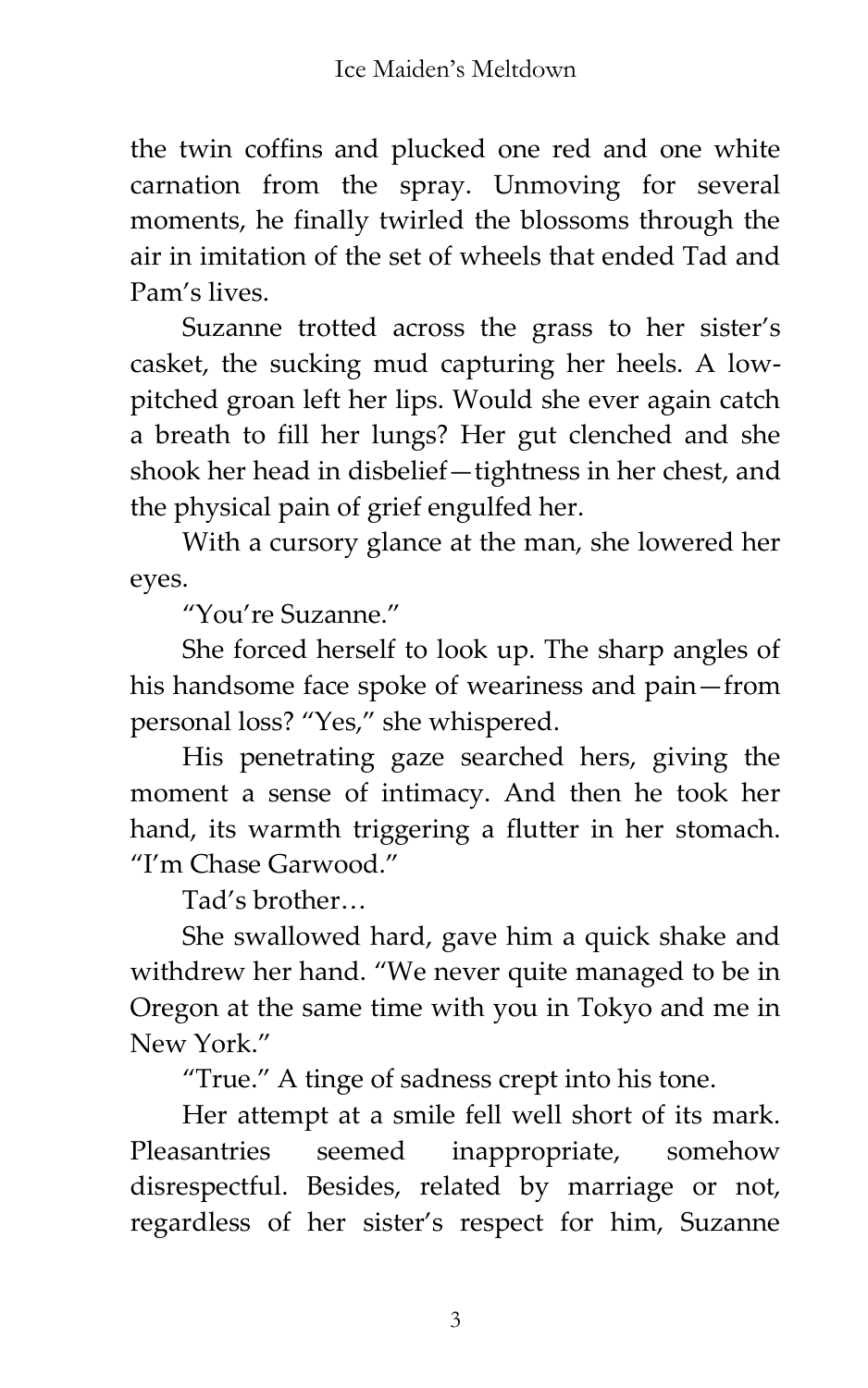the twin coffins and plucked one red and one white carnation from the spray. Unmoving for several moments, he finally twirled the blossoms through the air in imitation of the set of wheels that ended Tad and Pam's lives.

Suzanne trotted across the grass to her sister's casket, the sucking mud capturing her heels. A lowpitched groan left her lips. Would she ever again catch a breath to fill her lungs? Her gut clenched and she shook her head in disbelief—tightness in her chest, and the physical pain of grief engulfed her.

With a cursory glance at the man, she lowered her eyes.

'You're Suzanne.'

She forced herself to look up. The sharp angles of his handsome face spoke of weariness and pain—from personal loss? 'Yes,' she whispered.

His penetrating gaze searched hers, giving the moment a sense of intimacy. And then he took her hand, its warmth triggering a flutter in her stomach. 'I'm Chase Garwood.'

Tad's brother<

She swallowed hard, gave him a quick shake and withdrew her hand. 'We never quite managed to be in Oregon at the same time with you in Tokyo and me in New York.'

'True.' A tinge of sadness crept into his tone.

Her attempt at a smile fell well short of its mark. Pleasantries seemed inappropriate, somehow disrespectful. Besides, related by marriage or not, regardless of her sister's respect for him, Suzanne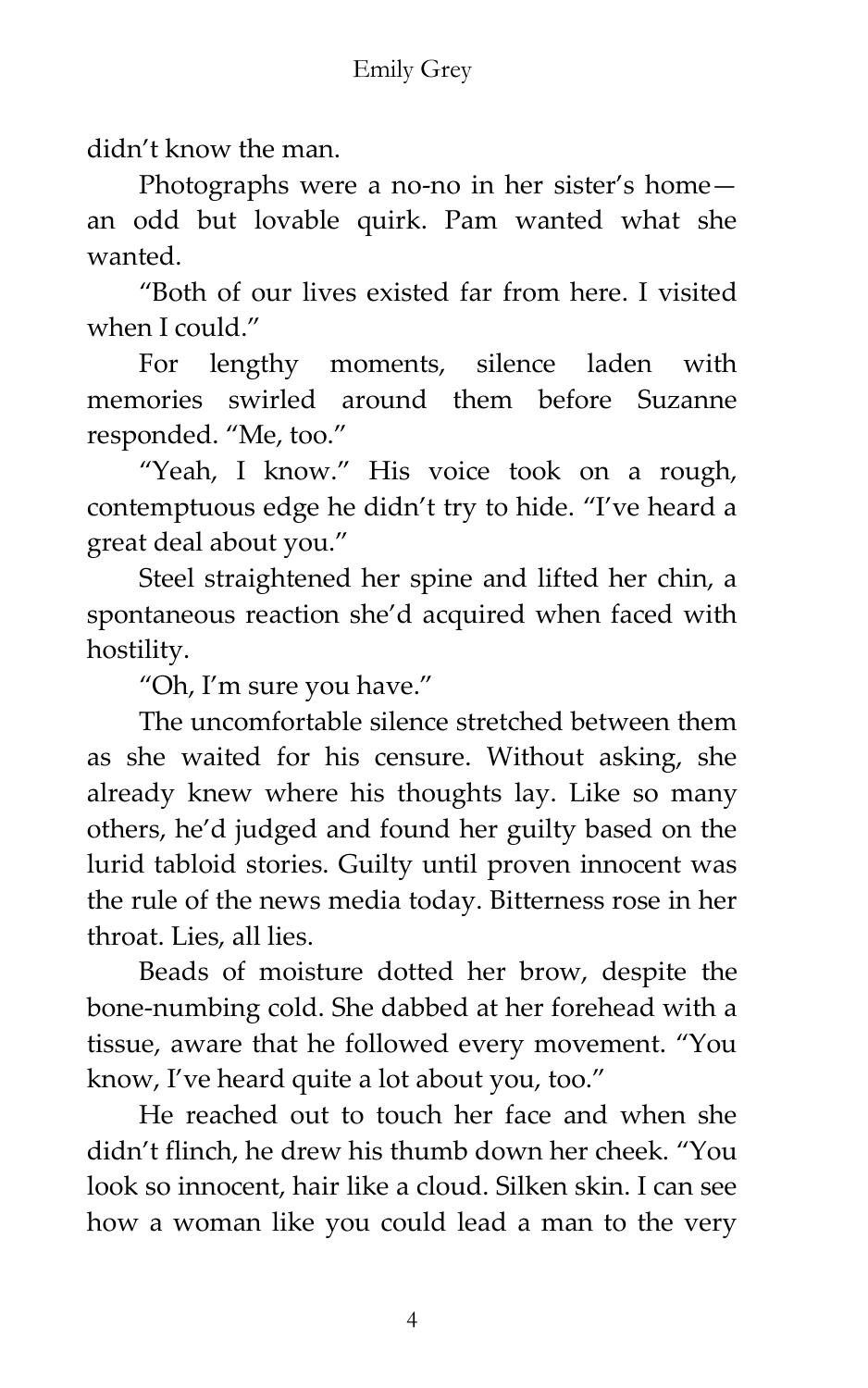didn't know the man.

Photographs were a no-no in her sister's home an odd but lovable quirk. Pam wanted what she wanted.

'Both of our lives existed far from here. I visited when I could."

For lengthy moments, silence laden with memories swirled around them before Suzanne responded. 'Me, too.'

'Yeah, I know.' His voice took on a rough, contemptuous edge he didn't try to hide. 'I've heard a great deal about you.'

Steel straightened her spine and lifted her chin, a spontaneous reaction she'd acquired when faced with hostility.

'Oh, I'm sure you have.'

The uncomfortable silence stretched between them as she waited for his censure. Without asking, she already knew where his thoughts lay. Like so many others, he'd judged and found her guilty based on the lurid tabloid stories. Guilty until proven innocent was the rule of the news media today. Bitterness rose in her throat. Lies, all lies.

Beads of moisture dotted her brow, despite the bone-numbing cold. She dabbed at her forehead with a tissue, aware that he followed every movement. 'You know, I've heard quite a lot about you, too."

He reached out to touch her face and when she didn't flinch, he drew his thumb down her cheek. 'You look so innocent, hair like a cloud. Silken skin. I can see how a woman like you could lead a man to the very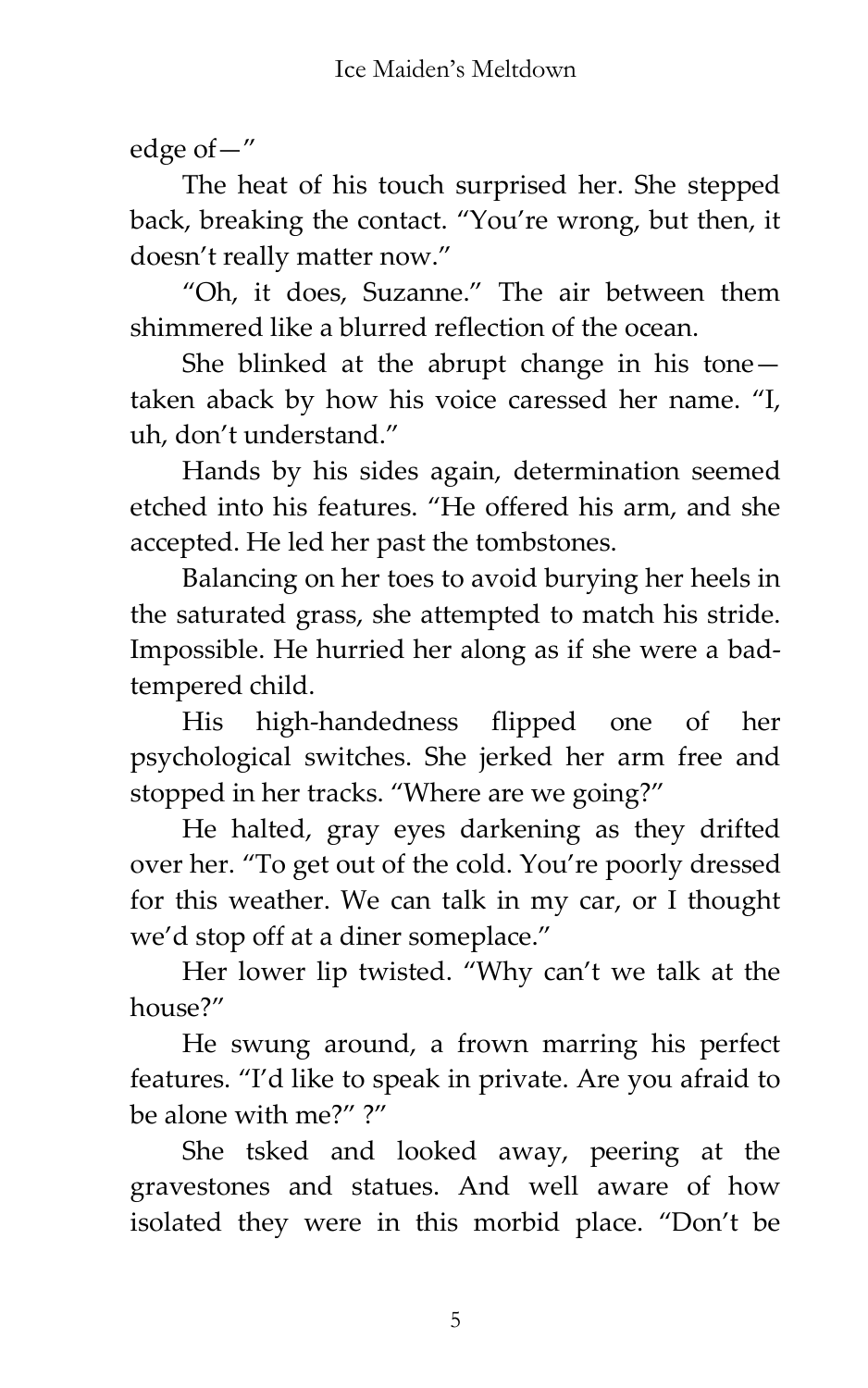edge of—'

The heat of his touch surprised her. She stepped back, breaking the contact. 'You're wrong, but then, it doesn't really matter now.'

'Oh, it does, Suzanne.' The air between them shimmered like a blurred reflection of the ocean.

She blinked at the abrupt change in his tone taken aback by how his voice caressed her name. 'I, uh, don't understand.'

Hands by his sides again, determination seemed etched into his features. 'He offered his arm, and she accepted. He led her past the tombstones.

Balancing on her toes to avoid burying her heels in the saturated grass, she attempted to match his stride. Impossible. He hurried her along as if she were a badtempered child.

His high-handedness flipped one of her psychological switches. She jerked her arm free and stopped in her tracks. 'Where are we going?'

He halted, gray eyes darkening as they drifted over her. 'To get out of the cold. You're poorly dressed for this weather. We can talk in my car, or I thought we'd stop off at a diner someplace.'

Her lower lip twisted. 'Why can't we talk at the house?'

He swung around, a frown marring his perfect features. 'I'd like to speak in private. Are you afraid to be alone with me?"?"

She tsked and looked away, peering at the gravestones and statues. And well aware of how isolated they were in this morbid place. 'Don't be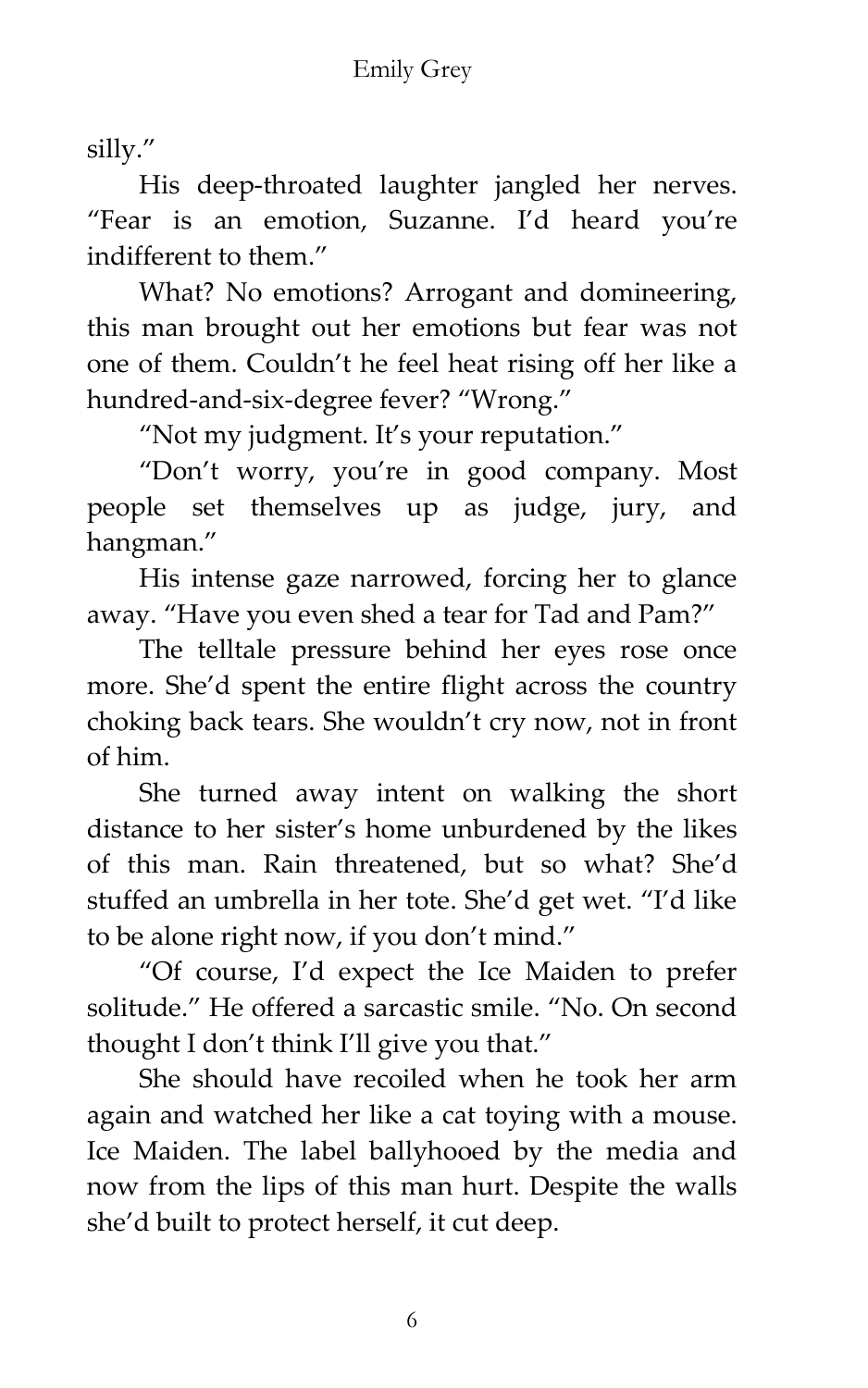silly.'

His deep-throated laughter jangled her nerves. 'Fear is an emotion, Suzanne. I'd heard you're indifferent to them.'

What? No emotions? Arrogant and domineering, this man brought out her emotions but fear was not one of them. Couldn't he feel heat rising off her like a hundred-and-six-degree fever? 'Wrong.'

'Not my judgment. It's your reputation.'

'Don't worry, you're in good company. Most people set themselves up as judge, jury, and hangman.'

His intense gaze narrowed, forcing her to glance away. 'Have you even shed a tear for Tad and Pam?'

The telltale pressure behind her eyes rose once more. She'd spent the entire flight across the country choking back tears. She wouldn't cry now, not in front of him.

She turned away intent on walking the short distance to her sister's home unburdened by the likes of this man. Rain threatened, but so what? She'd stuffed an umbrella in her tote. She'd get wet. 'I'd like to be alone right now, if you don't mind.'

'Of course, I'd expect the Ice Maiden to prefer solitude.' He offered a sarcastic smile. 'No. On second thought I don't think I'll give you that.'

She should have recoiled when he took her arm again and watched her like a cat toying with a mouse. Ice Maiden. The label ballyhooed by the media and now from the lips of this man hurt. Despite the walls she'd built to protect herself, it cut deep.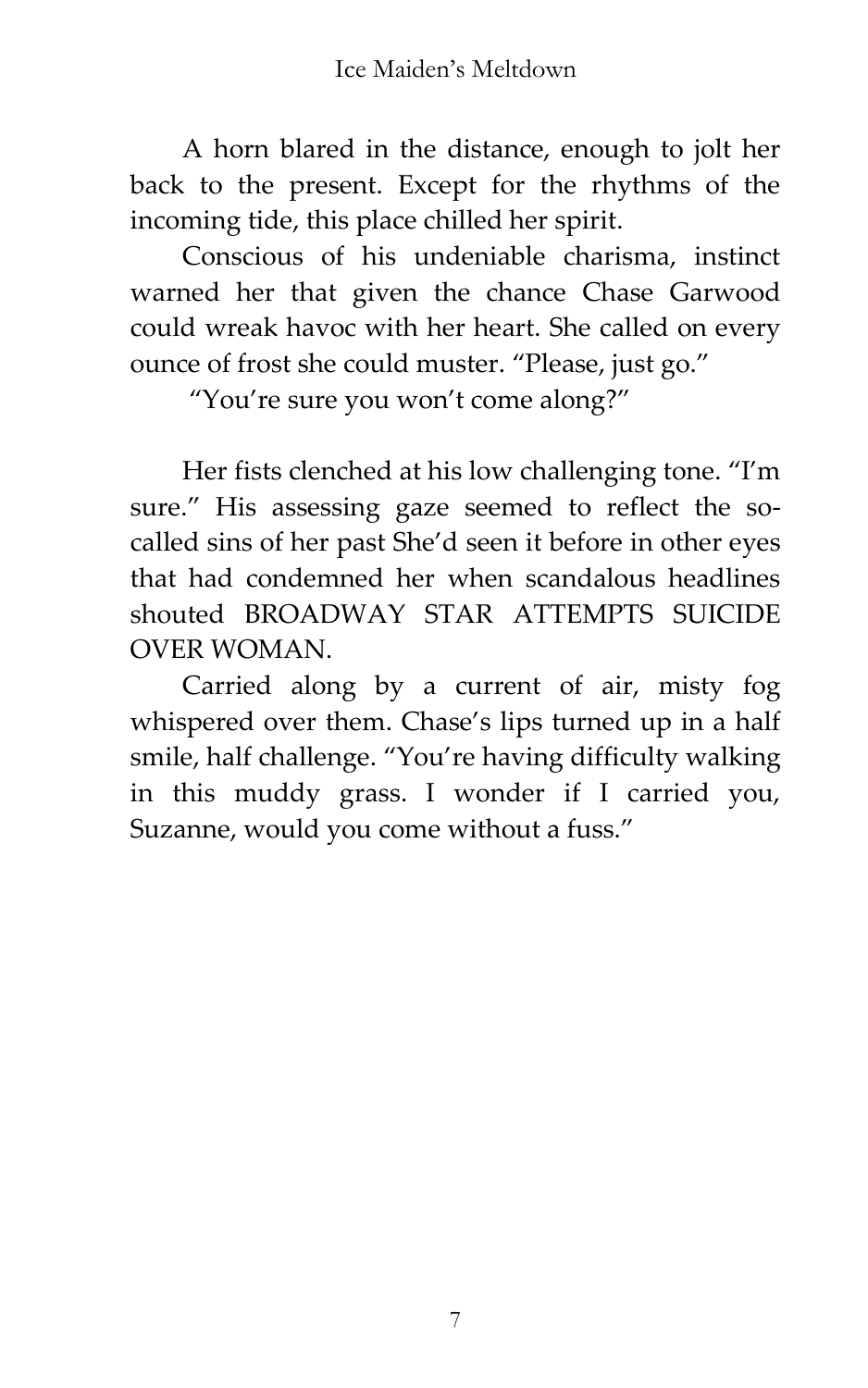A horn blared in the distance, enough to jolt her back to the present. Except for the rhythms of the incoming tide, this place chilled her spirit.

Conscious of his undeniable charisma, instinct warned her that given the chance Chase Garwood could wreak havoc with her heart. She called on every ounce of frost she could muster. 'Please, just go.'

'You're sure you won't come along?'

Her fists clenched at his low challenging tone. 'I'm sure.' His assessing gaze seemed to reflect the socalled sins of her past She'd seen it before in other eyes that had condemned her when scandalous headlines shouted BROADWAY STAR ATTEMPTS SUICIDE OVER WOMAN.

Carried along by a current of air, misty fog whispered over them. Chase's lips turned up in a half smile, half challenge. 'You're having difficulty walking in this muddy grass. I wonder if I carried you, Suzanne, would you come without a fuss.'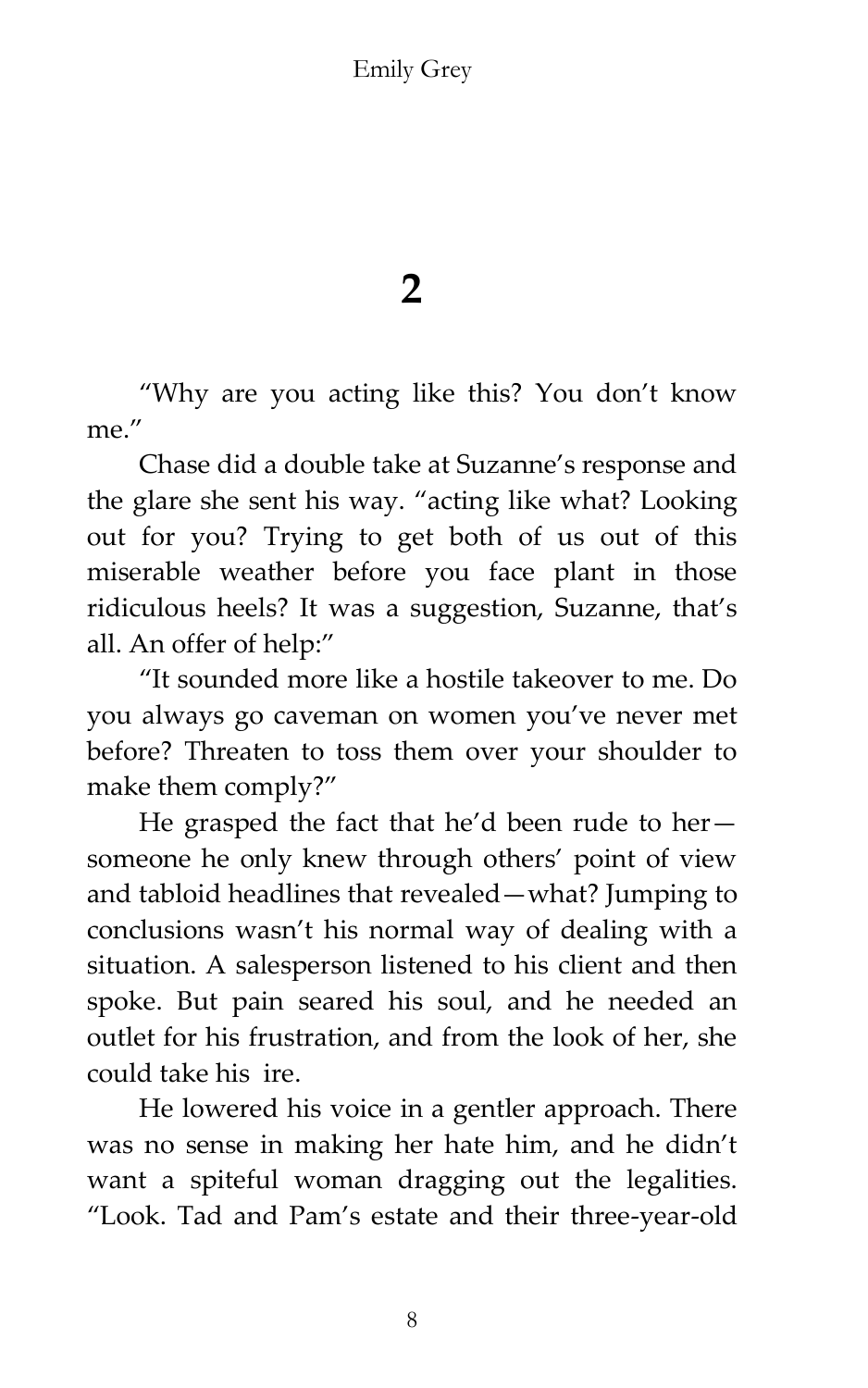Emily Grey

**2**

'Why are you acting like this? You don't know me"

Chase did a double take at Suzanne's response and the glare she sent his way. 'acting like what? Looking out for you? Trying to get both of us out of this miserable weather before you face plant in those ridiculous heels? It was a suggestion, Suzanne, that's all. An offer of help:'

'It sounded more like a hostile takeover to me. Do you always go caveman on women you've never met before? Threaten to toss them over your shoulder to make them comply?'

He grasped the fact that he'd been rude to her someone he only knew through others' point of view and tabloid headlines that revealed—what? Jumping to conclusions wasn't his normal way of dealing with a situation. A salesperson listened to his client and then spoke. But pain seared his soul, and he needed an outlet for his frustration, and from the look of her, she could take his ire.

He lowered his voice in a gentler approach. There was no sense in making her hate him, and he didn't want a spiteful woman dragging out the legalities. 'Look. Tad and Pam's estate and their three-year-old

8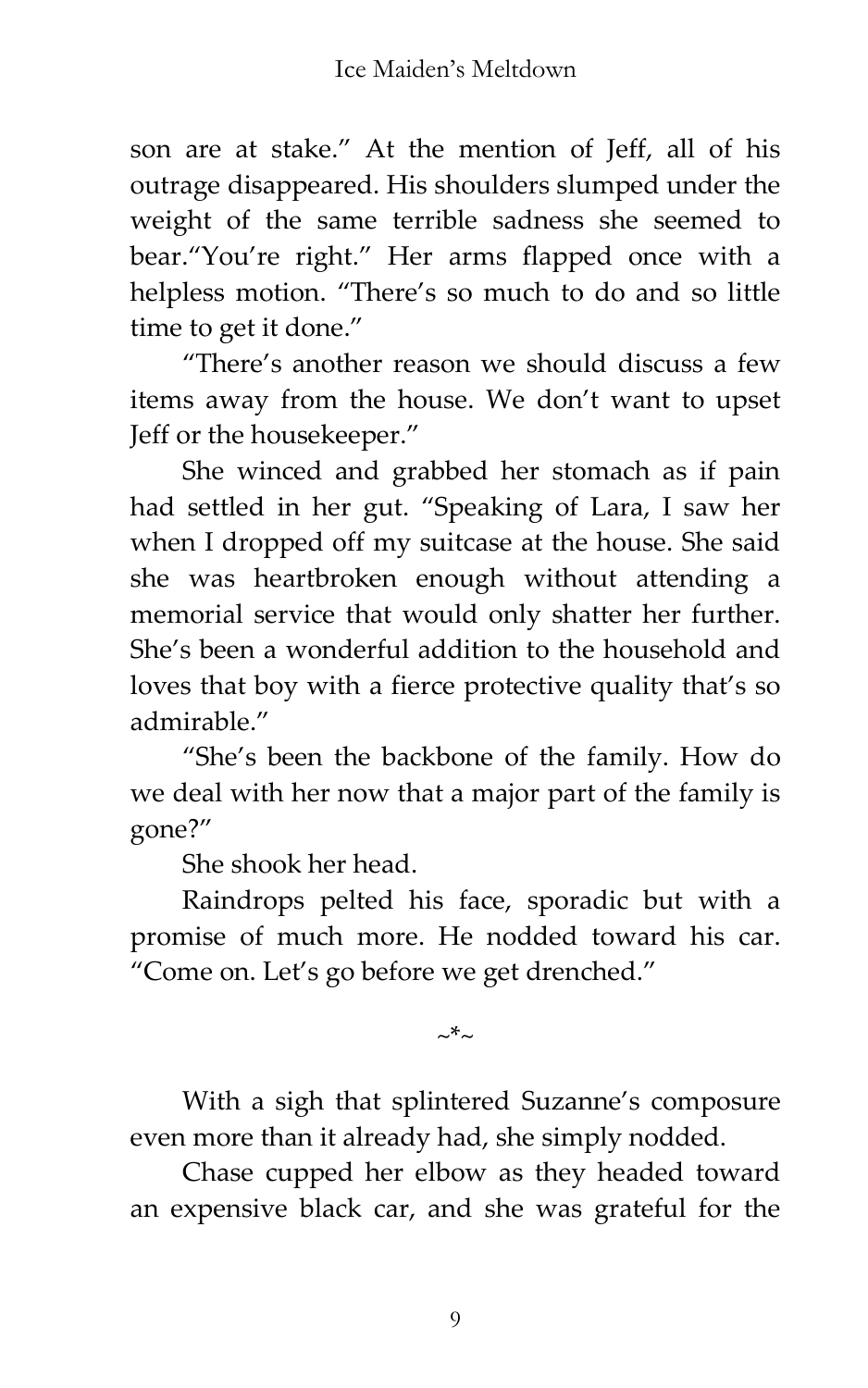son are at stake.' At the mention of Jeff, all of his outrage disappeared. His shoulders slumped under the weight of the same terrible sadness she seemed to bear.'You're right.' Her arms flapped once with a helpless motion. 'There's so much to do and so little time to get it done.'

'There's another reason we should discuss a few items away from the house. We don't want to upset Jeff or the housekeeper.'

She winced and grabbed her stomach as if pain had settled in her gut. 'Speaking of Lara, I saw her when I dropped off my suitcase at the house. She said she was heartbroken enough without attending a memorial service that would only shatter her further. She's been a wonderful addition to the household and loves that boy with a fierce protective quality that's so admirable.'

'She's been the backbone of the family. How do we deal with her now that a major part of the family is gone?'

She shook her head.

Raindrops pelted his face, sporadic but with a promise of much more. He nodded toward his car. 'Come on. Let's go before we get drenched.'

~\*~

With a sigh that splintered Suzanne's composure even more than it already had, she simply nodded.

Chase cupped her elbow as they headed toward an expensive black car, and she was grateful for the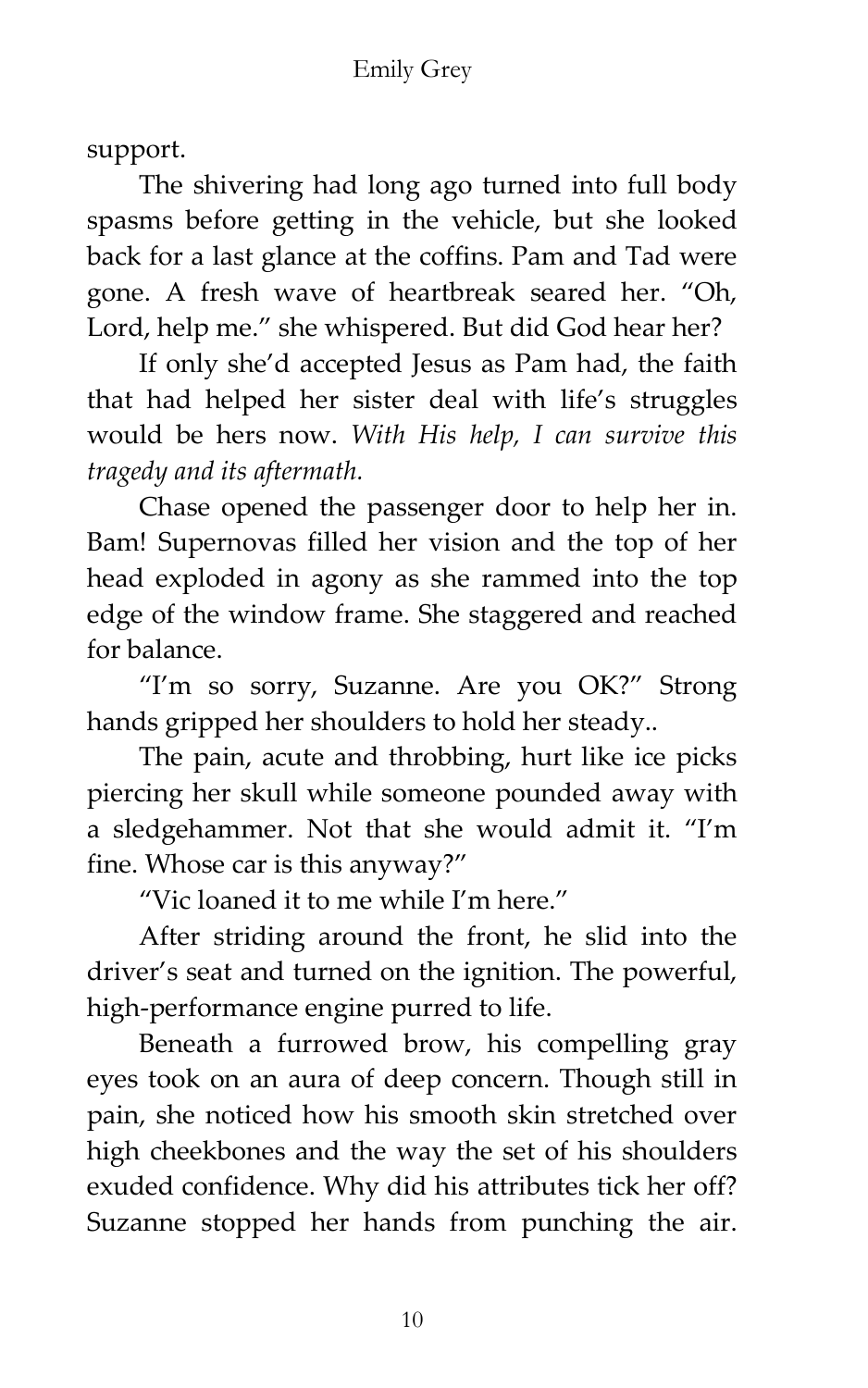support.

The shivering had long ago turned into full body spasms before getting in the vehicle, but she looked back for a last glance at the coffins. Pam and Tad were gone. A fresh wave of heartbreak seared her. 'Oh, Lord, help me.' she whispered. But did God hear her?

If only she'd accepted Jesus as Pam had, the faith that had helped her sister deal with life's struggles would be hers now. *With His help, I can survive this tragedy and its aftermath.*

Chase opened the passenger door to help her in. Bam! Supernovas filled her vision and the top of her head exploded in agony as she rammed into the top edge of the window frame. She staggered and reached for balance.

'I'm so sorry, Suzanne. Are you OK?' Strong hands gripped her shoulders to hold her steady..

The pain, acute and throbbing, hurt like ice picks piercing her skull while someone pounded away with a sledgehammer. Not that she would admit it. 'I'm fine. Whose car is this anyway?'

'Vic loaned it to me while I'm here.'

After striding around the front, he slid into the driver's seat and turned on the ignition. The powerful, high-performance engine purred to life.

Beneath a furrowed brow, his compelling gray eyes took on an aura of deep concern. Though still in pain, she noticed how his smooth skin stretched over high cheekbones and the way the set of his shoulders exuded confidence. Why did his attributes tick her off? Suzanne stopped her hands from punching the air.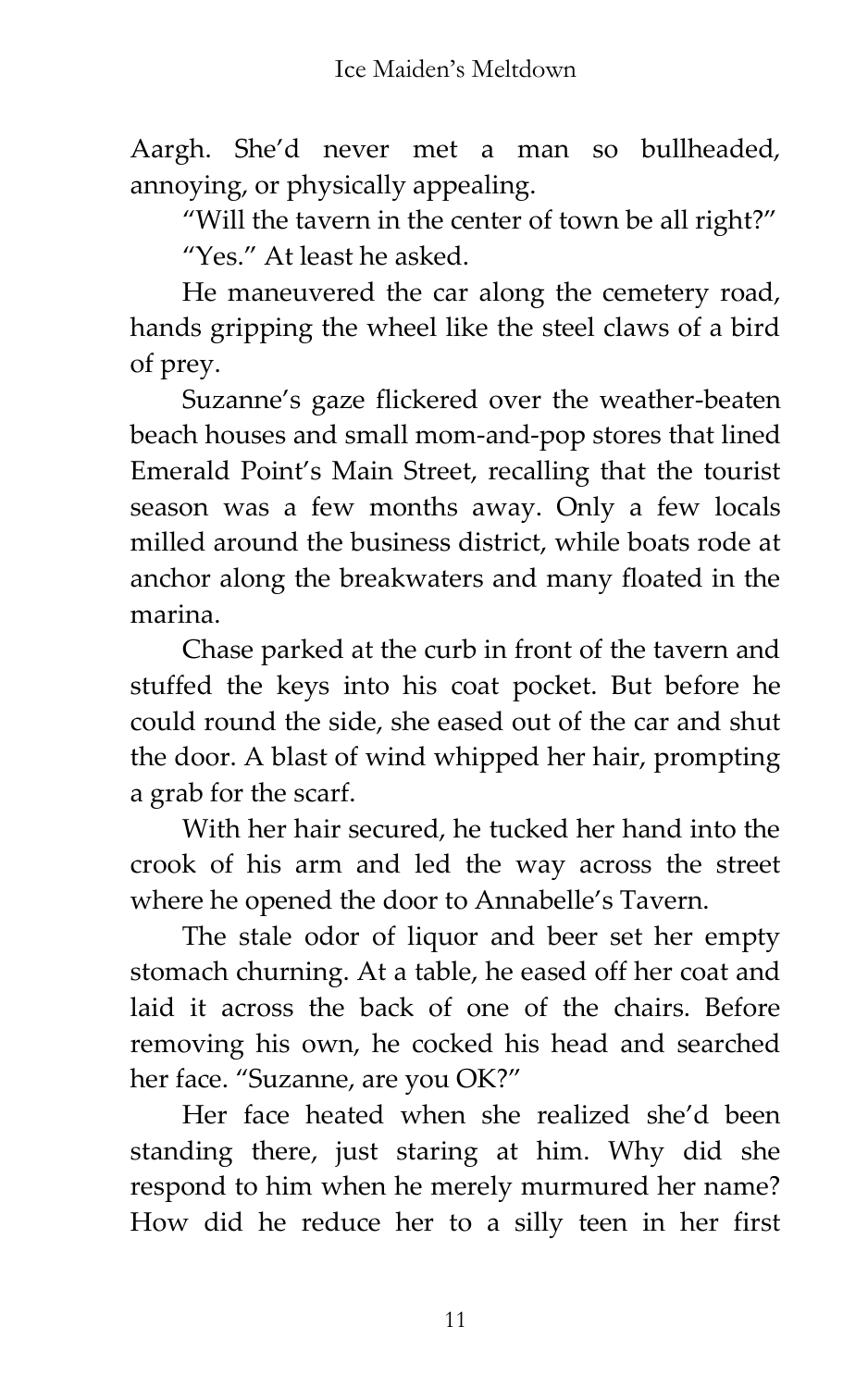Aargh. She'd never met a man so bullheaded, annoying, or physically appealing.

'Will the tavern in the center of town be all right?' 'Yes.' At least he asked.

He maneuvered the car along the cemetery road, hands gripping the wheel like the steel claws of a bird of prey.

Suzanne's gaze flickered over the weather-beaten beach houses and small mom-and-pop stores that lined Emerald Point's Main Street, recalling that the tourist season was a few months away. Only a few locals milled around the business district, while boats rode at anchor along the breakwaters and many floated in the marina.

Chase parked at the curb in front of the tavern and stuffed the keys into his coat pocket. But before he could round the side, she eased out of the car and shut the door. A blast of wind whipped her hair, prompting a grab for the scarf.

With her hair secured, he tucked her hand into the crook of his arm and led the way across the street where he opened the door to Annabelle's Tavern.

The stale odor of liquor and beer set her empty stomach churning. At a table, he eased off her coat and laid it across the back of one of the chairs. Before removing his own, he cocked his head and searched her face. "Suzanne, are you OK?"

Her face heated when she realized she'd been standing there, just staring at him. Why did she respond to him when he merely murmured her name? How did he reduce her to a silly teen in her first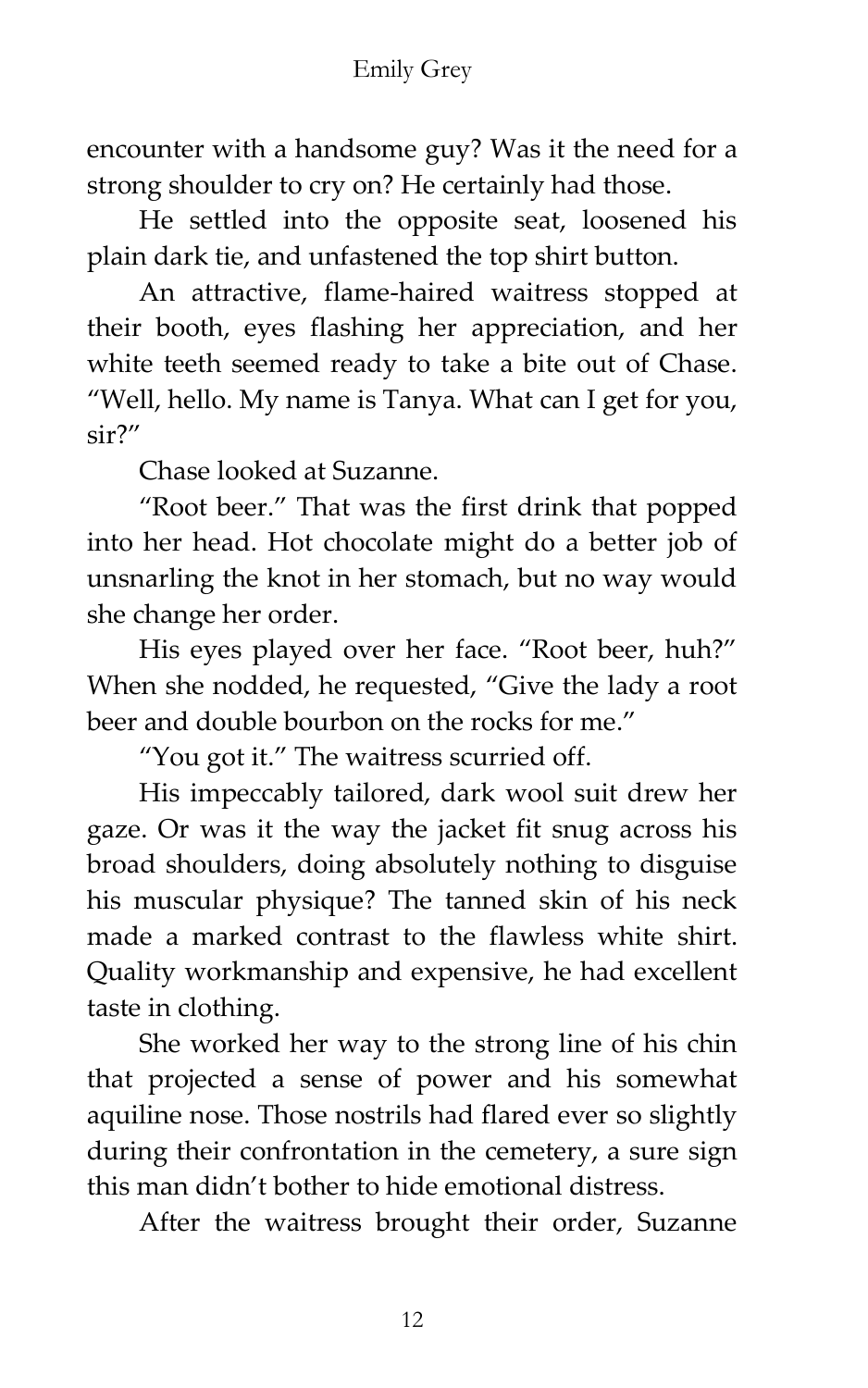encounter with a handsome guy? Was it the need for a strong shoulder to cry on? He certainly had those.

He settled into the opposite seat, loosened his plain dark tie, and unfastened the top shirt button.

An attractive, flame-haired waitress stopped at their booth, eyes flashing her appreciation, and her white teeth seemed ready to take a bite out of Chase. 'Well, hello. My name is Tanya. What can I get for you, sir?'

Chase looked at Suzanne.

'Root beer.' That was the first drink that popped into her head. Hot chocolate might do a better job of unsnarling the knot in her stomach, but no way would she change her order.

His eyes played over her face. "Root beer, huh?" When she nodded, he requested, "Give the lady a root beer and double bourbon on the rocks for me."

'You got it.' The waitress scurried off.

His impeccably tailored, dark wool suit drew her gaze. Or was it the way the jacket fit snug across his broad shoulders, doing absolutely nothing to disguise his muscular physique? The tanned skin of his neck made a marked contrast to the flawless white shirt. Quality workmanship and expensive, he had excellent taste in clothing.

She worked her way to the strong line of his chin that projected a sense of power and his somewhat aquiline nose. Those nostrils had flared ever so slightly during their confrontation in the cemetery, a sure sign this man didn't bother to hide emotional distress.

After the waitress brought their order, Suzanne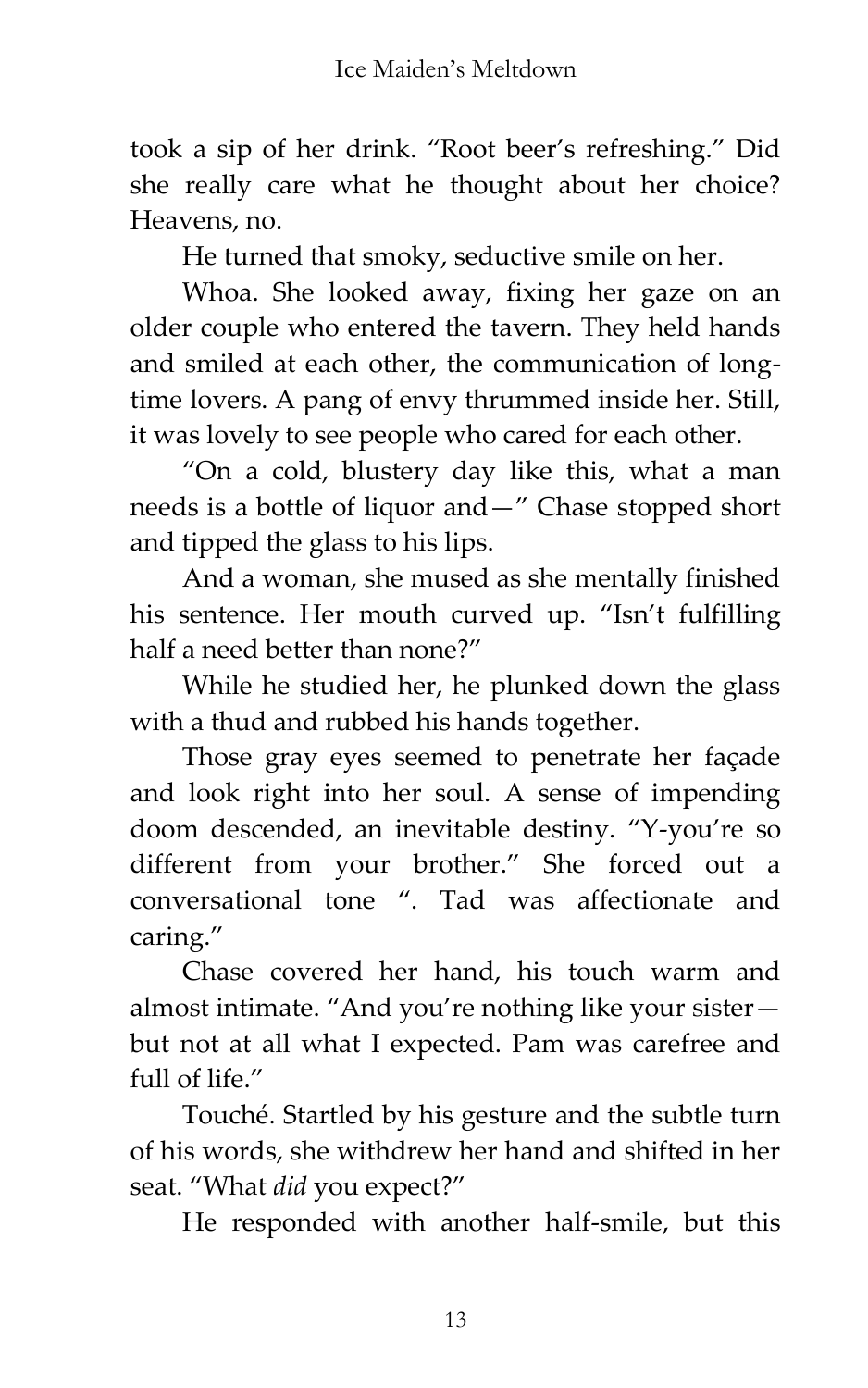took a sip of her drink. 'Root beer's refreshing.' Did she really care what he thought about her choice? Heavens, no.

He turned that smoky, seductive smile on her.

Whoa. She looked away, fixing her gaze on an older couple who entered the tavern. They held hands and smiled at each other, the communication of longtime lovers. A pang of envy thrummed inside her. Still, it was lovely to see people who cared for each other.

'On a cold, blustery day like this, what a man needs is a bottle of liquor and—' Chase stopped short and tipped the glass to his lips.

And a woman, she mused as she mentally finished his sentence. Her mouth curved up. "Isn't fulfilling half a need better than none?"

While he studied her, he plunked down the glass with a thud and rubbed his hands together.

Those gray eyes seemed to penetrate her façade and look right into her soul. A sense of impending doom descended, an inevitable destiny. 'Y-you're so different from your brother.' She forced out a conversational tone '. Tad was affectionate and caring.'

Chase covered her hand, his touch warm and almost intimate. 'And you're nothing like your sister but not at all what I expected. Pam was carefree and full of life.'

Touché. Startled by his gesture and the subtle turn of his words, she withdrew her hand and shifted in her seat. 'What *did* you expect?'

He responded with another half-smile, but this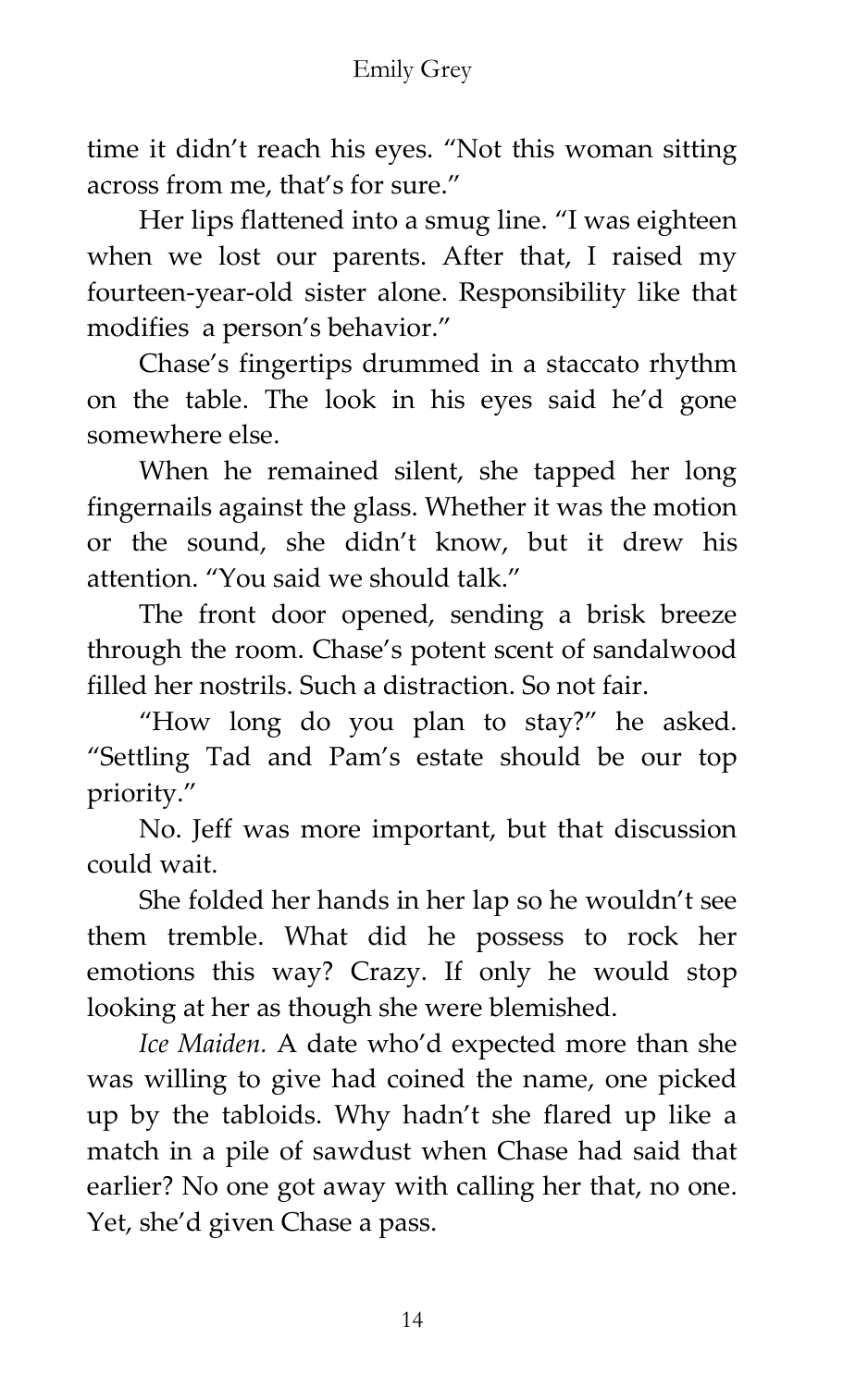time it didn't reach his eyes. 'Not this woman sitting across from me, that's for sure.'

Her lips flattened into a smug line. 'I was eighteen when we lost our parents. After that, I raised my fourteen-year-old sister alone. Responsibility like that modifies a person's behavior.'

Chase's fingertips drummed in a staccato rhythm on the table. The look in his eyes said he'd gone somewhere else.

When he remained silent, she tapped her long fingernails against the glass. Whether it was the motion or the sound, she didn't know, but it drew his attention. 'You said we should talk.'

The front door opened, sending a brisk breeze through the room. Chase's potent scent of sandalwood filled her nostrils. Such a distraction. So not fair.

'How long do you plan to stay?' he asked. 'Settling Tad and Pam's estate should be our top priority.'

No. Jeff was more important, but that discussion could wait.

She folded her hands in her lap so he wouldn't see them tremble. What did he possess to rock her emotions this way? Crazy. If only he would stop looking at her as though she were blemished.

*Ice Maiden.* A date who'd expected more than she was willing to give had coined the name, one picked up by the tabloids. Why hadn't she flared up like a match in a pile of sawdust when Chase had said that earlier? No one got away with calling her that, no one. Yet, she'd given Chase a pass.